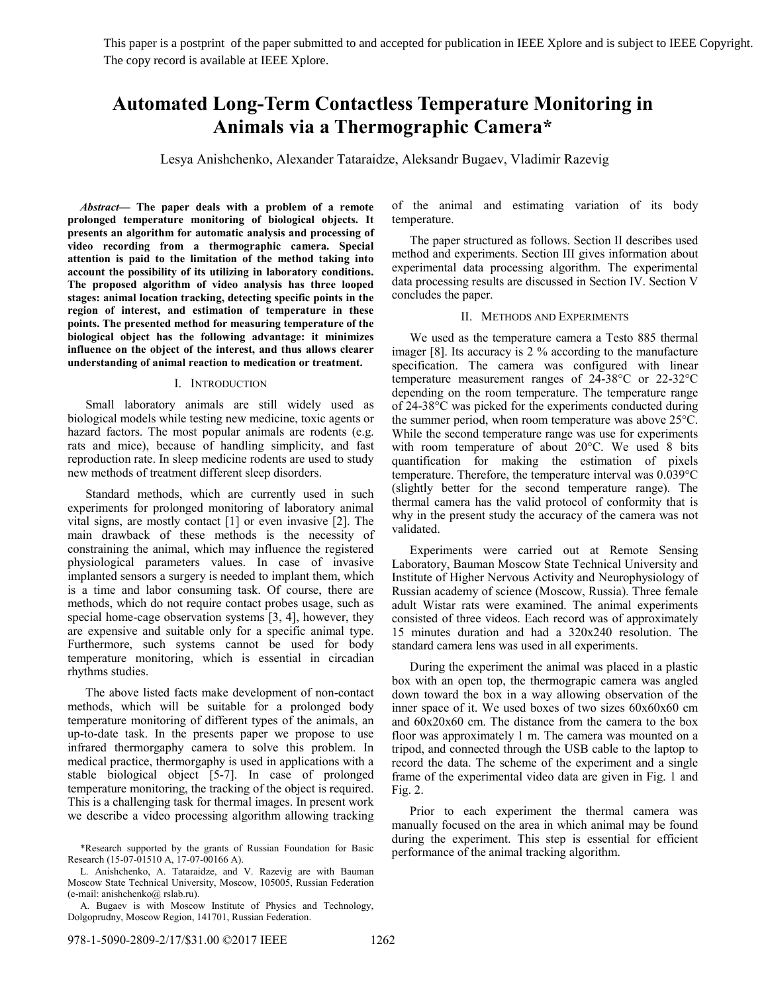This paper is a postprint of the paper submitted to and accepted for publication in IEEE Xplore and is subject to IEEE Copyright. The copy record is available at IEEE Xplore.

# **Automated Long-Term Contactless Temperature Monitoring in Animals via a Thermographic Camera\***

Lesya Anishchenko, Alexander Tataraidze, Aleksandr Bugaev, Vladimir Razevig

*Abstract***— The paper deals with a problem of a remote prolonged temperature monitoring of biological objects. It presents an algorithm for automatic analysis and processing of video recording from a thermographic camera. Special attention is paid to the limitation of the method taking into account the possibility of its utilizing in laboratory conditions. The proposed algorithm of video analysis has three looped stages: animal location tracking, detecting specific points in the region of interest, and estimation of temperature in these points. The presented method for measuring temperature of the biological object has the following advantage: it minimizes influence on the object of the interest, and thus allows clearer understanding of animal reaction to medication or treatment.** 

#### I. INTRODUCTION

Small laboratory animals are still widely used as biological models while testing new medicine, toxic agents or hazard factors. The most popular animals are rodents (e.g. rats and mice), because of handling simplicity, and fast reproduction rate. In sleep medicine rodents are used to study new methods of treatment different sleep disorders.

Standard methods, which are currently used in such experiments for prolonged monitoring of laboratory animal vital signs, are mostly contact [1] or even invasive [2]. The main drawback of these methods is the necessity of constraining the animal, which may influence the registered physiological parameters values. In case of invasive implanted sensors a surgery is needed to implant them, which is a time and labor consuming task. Of course, there are methods, which do not require contact probes usage, such as special home-cage observation systems [3, 4], however, they are expensive and suitable only for a specific animal type. Furthermore, such systems cannot be used for body temperature monitoring, which is essential in circadian rhythms studies.

The above listed facts make development of non-contact methods, which will be suitable for a prolonged body temperature monitoring of different types of the animals, an up-to-date task. In the presents paper we propose to use infrared thermorgaphy camera to solve this problem. In medical practice, thermorgaphy is used in applications with a stable biological object [5-7]. In case of prolonged temperature monitoring, the tracking of the object is required. This is a challenging task for thermal images. In present work we describe a video processing algorithm allowing tracking of the animal and estimating variation of its body temperature.

The paper structured as follows. Section II describes used method and experiments. Section III gives information about experimental data processing algorithm. The experimental data processing results are discussed in Section IV. Section V concludes the paper.

### II. METHODS AND EXPERIMENTS

We used as the temperature camera a Testo 885 thermal imager [8]. Its accuracy is 2 % according to the manufacture specification. The camera was configured with linear temperature measurement ranges of 24-38°C or 22-32°C depending on the room temperature. The temperature range of 24-38°C was picked for the experiments conducted during the summer period, when room temperature was above 25°C. While the second temperature range was use for experiments with room temperature of about 20°C. We used 8 bits quantification for making the estimation of pixels temperature. Therefore, the temperature interval was 0.039°C (slightly better for the second temperature range). The thermal camera has the valid protocol of conformity that is why in the present study the accuracy of the camera was not validated.

Experiments were carried out at Remote Sensing Laboratory, Bauman Moscow State Technical University and Institute of Higher Nervous Activity and Neurophysiology of Russian academy of science (Moscow, Russia). Three female adult Wistar rats were examined. The animal experiments consisted of three videos. Each record was of approximately 15 minutes duration and had a 320x240 resolution. The standard camera lens was used in all experiments.

During the experiment the animal was placed in a plastic box with an open top, the thermograpic camera was angled down toward the box in a way allowing observation of the inner space of it. We used boxes of two sizes 60x60x60 cm and 60x20x60 cm. The distance from the camera to the box floor was approximately 1 m. The camera was mounted on a tripod, and connected through the USB cable to the laptop to record the data. The scheme of the experiment and a single frame of the experimental video data are given in Fig. 1 and Fig. 2.

Prior to each experiment the thermal camera was manually focused on the area in which animal may be found during the experiment. This step is essential for efficient performance of the animal tracking algorithm.

<sup>\*</sup>Research supported by the grants of Russian Foundation for Basic Research (15-07-01510 A, 17-07-00166 A).

L. Anishchenko, A. Tataraidze, and V. Razevig are with Bauman Moscow State Technical University, Moscow, 105005, Russian Federation (e-mail: anishchenko@ rslab.ru).

A. Bugaev is with Moscow Institute of Physics and Technology, Dolgoprudny, Moscow Region, 141701, Russian Federation.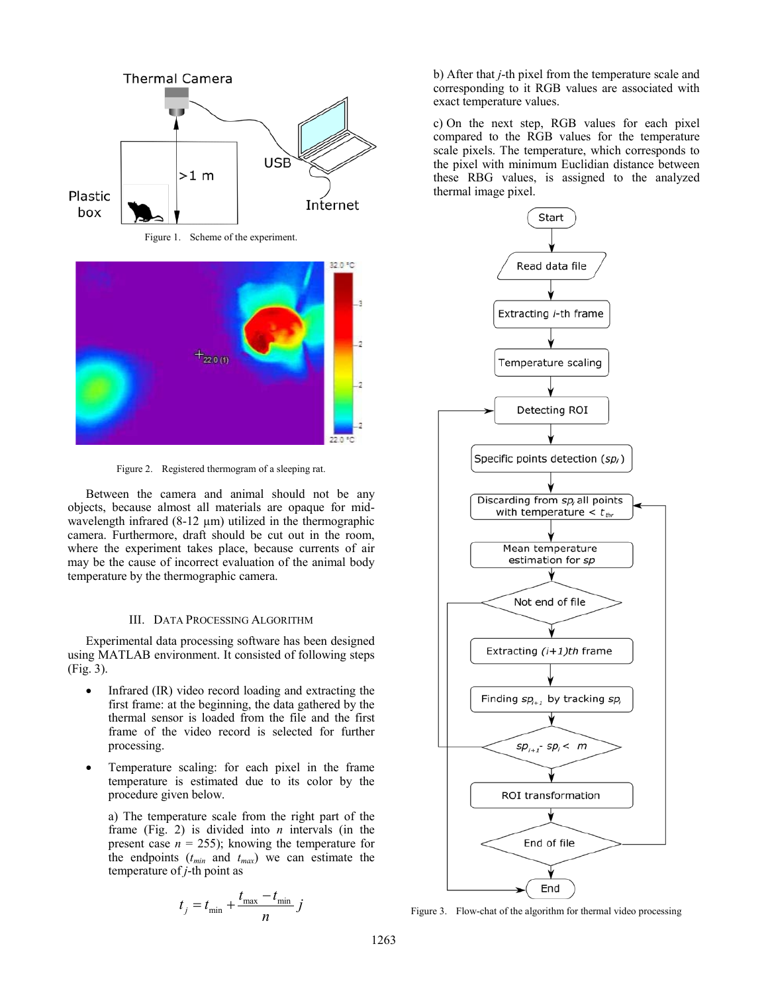

Figure 2. Registered thermogram of a sleeping rat.

Between the camera and animal should not be any objects, because almost all materials are opaque for midwavelength infrared  $(8-12 \mu m)$  utilized in the thermographic camera. Furthermore, draft should be cut out in the room, where the experiment takes place, because currents of air may be the cause of incorrect evaluation of the animal body temperature by the thermographic camera.

#### III. DATA PROCESSING ALGORITHM

Experimental data processing software has been designed using MATLAB environment. It consisted of following steps (Fig. 3).

- Infrared (IR) video record loading and extracting the first frame: at the beginning, the data gathered by the thermal sensor is loaded from the file and the first frame of the video record is selected for further processing.
- Temperature scaling: for each pixel in the frame temperature is estimated due to its color by the procedure given below.

a) The temperature scale from the right part of the frame (Fig. 2) is divided into *n* intervals (in the present case  $n = 255$ ; knowing the temperature for the endpoints  $(t_{min}$  and  $t_{max}$ ) we can estimate the temperature of *j*-th point as

$$
t_j = t_{\min} + \frac{t_{\max} - t_{\min}}{n} j
$$

b) After that *j*-th pixel from the temperature scale and corresponding to it RGB values are associated with exact temperature values.

c) On the next step, RGB values for each pixel compared to the RGB values for the temperature scale pixels. The temperature, which corresponds to the pixel with minimum Euclidian distance between these RBG values, is assigned to the analyzed thermal image pixel.



Figure 3. Flow-chat of the algorithm for thermal video processing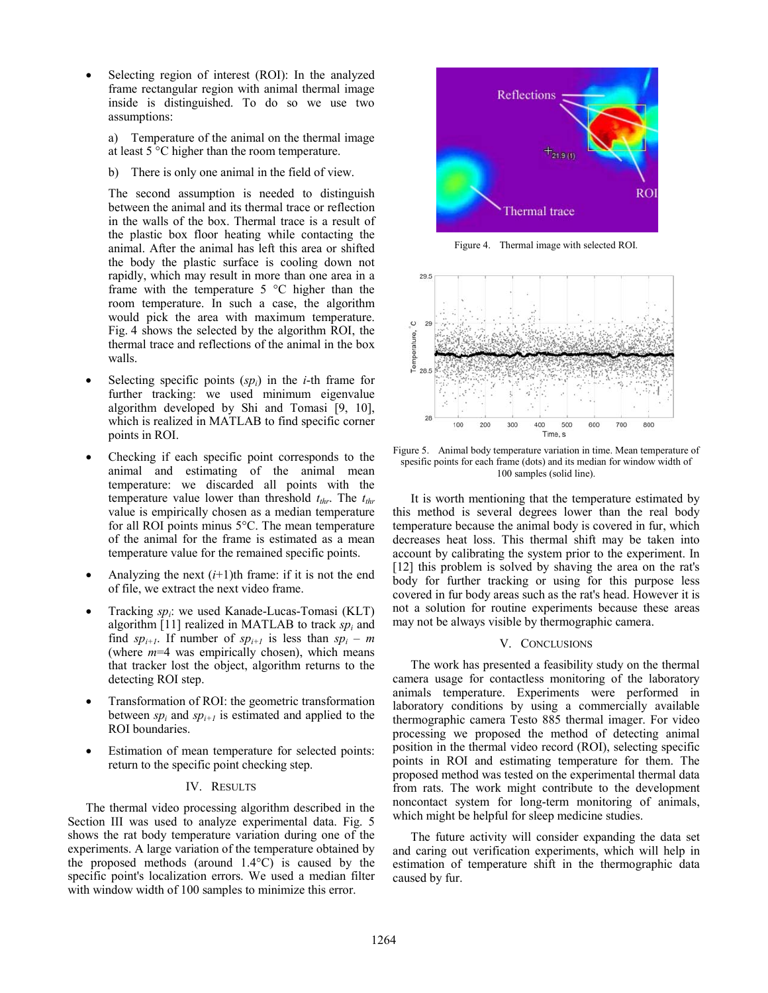Selecting region of interest (ROI): In the analyzed frame rectangular region with animal thermal image inside is distinguished. To do so we use two assumptions:

a) Temperature of the animal on the thermal image at least 5 °C higher than the room temperature.

b) There is only one animal in the field of view.

The second assumption is needed to distinguish between the animal and its thermal trace or reflection in the walls of the box. Thermal trace is a result of the plastic box floor heating while contacting the animal. After the animal has left this area or shifted the body the plastic surface is cooling down not rapidly, which may result in more than one area in a frame with the temperature 5 °C higher than the room temperature. In such a case, the algorithm would pick the area with maximum temperature. Fig. 4 shows the selected by the algorithm ROI, the thermal trace and reflections of the animal in the box walls.

- Selecting specific points  $(sp<sub>i</sub>)$  in the *i*-th frame for further tracking: we used minimum eigenvalue algorithm developed by Shi and Tomasi [9, 10], which is realized in MATLAB to find specific corner points in ROI.
- Checking if each specific point corresponds to the animal and estimating of the animal mean temperature: we discarded all points with the temperature value lower than threshold  $t_{thr}$ . The  $t_{thr}$ value is empirically chosen as a median temperature for all ROI points minus 5°C. The mean temperature of the animal for the frame is estimated as a mean temperature value for the remained specific points.
- Analyzing the next  $(i+1)$ th frame: if it is not the end of file, we extract the next video frame.
- Tracking *spi*: we used Kanade-Lucas-Tomasi (KLT) algorithm [11] realized in MATLAB to track  $sp_i$  and find  $sp_{i+1}$ . If number of  $sp_{i+1}$  is less than  $sp_i - m$ (where *m*=4 was empirically chosen), which means that tracker lost the object, algorithm returns to the detecting ROI step.
- Transformation of ROI: the geometric transformation between  $sp_i$  and  $sp_{i+1}$  is estimated and applied to the ROI boundaries.
- Estimation of mean temperature for selected points: return to the specific point checking step.

## IV. RESULTS

The thermal video processing algorithm described in the Section III was used to analyze experimental data. Fig. 5 shows the rat body temperature variation during one of the experiments. A large variation of the temperature obtained by the proposed methods (around  $1.4^{\circ}$ C) is caused by the specific point's localization errors. We used a median filter with window width of 100 samples to minimize this error.



Figure 4. Thermal image with selected ROI.



Figure 5. Animal body temperature variation in time. Mean temperature of spesific points for each frame (dots) and its median for window width of 100 samples (solid line).

It is worth mentioning that the temperature estimated by this method is several degrees lower than the real body temperature because the animal body is covered in fur, which decreases heat loss. This thermal shift may be taken into account by calibrating the system prior to the experiment. In [12] this problem is solved by shaving the area on the rat's body for further tracking or using for this purpose less covered in fur body areas such as the rat's head. However it is not a solution for routine experiments because these areas may not be always visible by thermographic camera.

#### V. CONCLUSIONS

The work has presented a feasibility study on the thermal camera usage for contactless monitoring of the laboratory animals temperature. Experiments were performed in laboratory conditions by using a commercially available thermographic camera Testo 885 thermal imager. For video processing we proposed the method of detecting animal position in the thermal video record (ROI), selecting specific points in ROI and estimating temperature for them. The proposed method was tested on the experimental thermal data from rats. The work might contribute to the development noncontact system for long-term monitoring of animals, which might be helpful for sleep medicine studies.

The future activity will consider expanding the data set and caring out verification experiments, which will help in estimation of temperature shift in the thermographic data caused by fur.